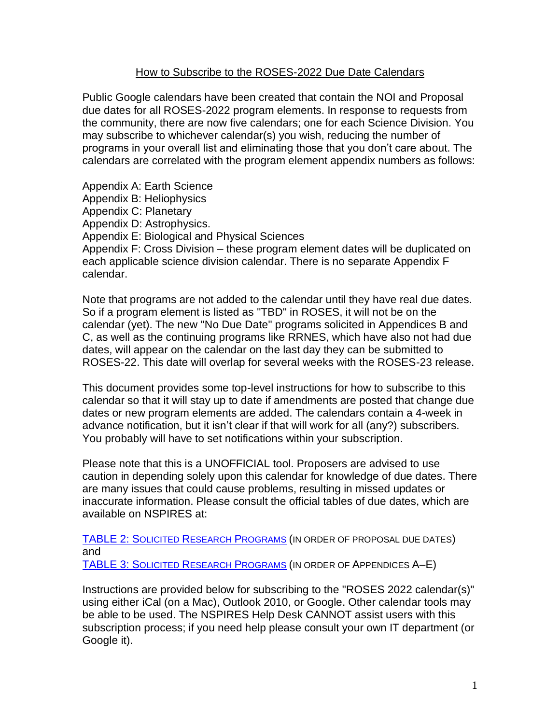# How to Subscribe to the ROSES-2022 Due Date Calendars

Public Google calendars have been created that contain the NOI and Proposal due dates for all ROSES-2022 program elements. In response to requests from the community, there are now five calendars; one for each Science Division. You may subscribe to whichever calendar(s) you wish, reducing the number of programs in your overall list and eliminating those that you don't care about. The calendars are correlated with the program element appendix numbers as follows:

Appendix A: Earth Science Appendix B: Heliophysics Appendix C: Planetary Appendix D: Astrophysics. Appendix E: Biological and Physical Sciences Appendix F: Cross Division – these program element dates will be duplicated on each applicable science division calendar. There is no separate Appendix F calendar.

Note that programs are not added to the calendar until they have real due dates. So if a program element is listed as "TBD" in ROSES, it will not be on the calendar (yet). The new "No Due Date" programs solicited in Appendices B and C, as well as the continuing programs like RRNES, which have also not had due dates, will appear on the calendar on the last day they can be submitted to ROSES-22. This date will overlap for several weeks with the ROSES-23 release.

This document provides some top-level instructions for how to subscribe to this calendar so that it will stay up to date if amendments are posted that change due dates or new program elements are added. The calendars contain a 4-week in advance notification, but it isn't clear if that will work for all (any?) subscribers. You probably will have to set notifications within your subscription.

Please note that this is a UNOFFICIAL tool. Proposers are advised to use caution in depending solely upon this calendar for knowledge of due dates. There are many issues that could cause problems, resulting in missed updates or inaccurate information. Please consult the official tables of due dates, which are available on NSPIRES at:

[TABLE 2: S](http://solicitation.nasaprs.com/ROSES2022table2)OLICITED RESEARCH P[ROGRAMS](http://solicitation.nasaprs.com/ROSES2022table2) (IN ORDER OF PROPOSAL DUE DATES) and [TABLE 3: S](http://solicitation.nasaprs.com/ROSES2022table3)OLICITED RESEARCH P[ROGRAMS](http://solicitation.nasaprs.com/ROSES2022table3) (IN ORDER OF APPENDICES A–E)

Instructions are provided below for subscribing to the "ROSES 2022 calendar(s)" using either iCal (on a Mac), Outlook 2010, or Google. Other calendar tools may be able to be used. The NSPIRES Help Desk CANNOT assist users with this subscription process; if you need help please consult your own IT department (or Google it).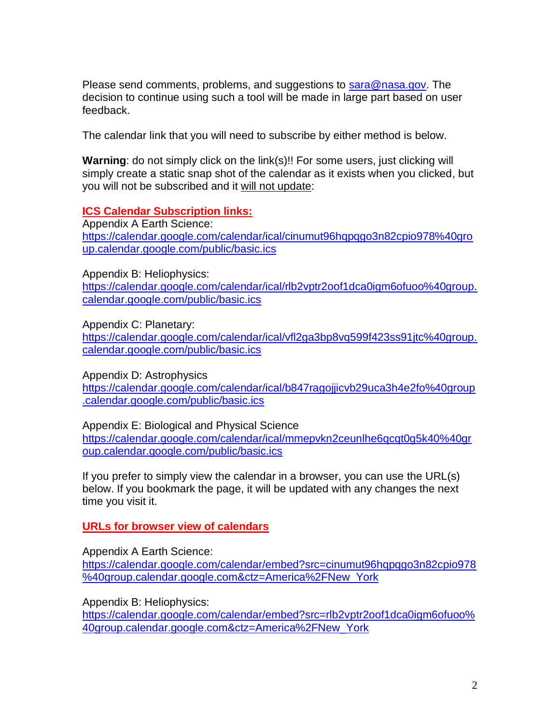Please send comments, problems, and suggestions to [sara@nasa.gov.](mailto:sara@nasa.gov) The decision to continue using such a tool will be made in large part based on user feedback.

The calendar link that you will need to subscribe by either method is below.

**Warning:** do not simply click on the link(s)!! For some users, just clicking will simply create a static snap shot of the calendar as it exists when you clicked, but you will not be subscribed and it will not update:

## **ICS Calendar Subscription links:**

Appendix A Earth Science: [https://calendar.google.com/calendar/ical/cinumut96hqpqgo3n82cpio978%40gro](https://calendar.google.com/calendar/ical/cinumut96hqpqgo3n82cpio978%40group.calendar.google.com/public/basic.ics) [up.calendar.google.com/public/basic.ics](https://calendar.google.com/calendar/ical/cinumut96hqpqgo3n82cpio978%40group.calendar.google.com/public/basic.ics)

Appendix B: Heliophysics:

[https://calendar.google.com/calendar/ical/rlb2vptr2oof1dca0igm6ofuoo%40group.](https://calendar.google.com/calendar/ical/rlb2vptr2oof1dca0igm6ofuoo%40group.calendar.google.com/public/basic.ics) [calendar.google.com/public/basic.ics](https://calendar.google.com/calendar/ical/rlb2vptr2oof1dca0igm6ofuoo%40group.calendar.google.com/public/basic.ics)

Appendix C: Planetary:

[https://calendar.google.com/calendar/ical/vfl2ga3bp8vq599f423ss91jtc%40group.](https://calendar.google.com/calendar/ical/vfl2ga3bp8vq599f423ss91jtc%40group.calendar.google.com/public/basic.ics) [calendar.google.com/public/basic.ics](https://calendar.google.com/calendar/ical/vfl2ga3bp8vq599f423ss91jtc%40group.calendar.google.com/public/basic.ics)

Appendix D: Astrophysics

[https://calendar.google.com/calendar/ical/b847ragojjicvb29uca3h4e2fo%40group](https://calendar.google.com/calendar/ical/b847ragojjicvb29uca3h4e2fo%40group.calendar.google.com/public/basic.ics) [.calendar.google.com/public/basic.ics](https://calendar.google.com/calendar/ical/b847ragojjicvb29uca3h4e2fo%40group.calendar.google.com/public/basic.ics)

Appendix E: Biological and Physical Science

[https://calendar.google.com/calendar/ical/mmepvkn2ceunlhe6qcqt0g5k40%40gr](https://calendar.google.com/calendar/ical/mmepvkn2ceunlhe6qcqt0g5k40%40group.calendar.google.com/public/basic.ics) [oup.calendar.google.com/public/basic.ics](https://calendar.google.com/calendar/ical/mmepvkn2ceunlhe6qcqt0g5k40%40group.calendar.google.com/public/basic.ics)

If you prefer to simply view the calendar in a browser, you can use the URL(s) below. If you bookmark the page, it will be updated with any changes the next time you visit it.

**URLs for browser view of calendars**

Appendix A Earth Science:

[https://calendar.google.com/calendar/embed?src=cinumut96hqpqgo3n82cpio978](https://calendar.google.com/calendar/embed?src=cinumut96hqpqgo3n82cpio978%40group.calendar.google.com&ctz=America%2FNew_York) [%40group.calendar.google.com&ctz=America%2FNew\\_York](https://calendar.google.com/calendar/embed?src=cinumut96hqpqgo3n82cpio978%40group.calendar.google.com&ctz=America%2FNew_York)

Appendix B: Heliophysics:

[https://calendar.google.com/calendar/embed?src=rlb2vptr2oof1dca0igm6ofuoo%](https://calendar.google.com/calendar/embed?src=rlb2vptr2oof1dca0igm6ofuoo%40group.calendar.google.com&ctz=America%2FNew_York) [40group.calendar.google.com&ctz=America%2FNew\\_York](https://calendar.google.com/calendar/embed?src=rlb2vptr2oof1dca0igm6ofuoo%40group.calendar.google.com&ctz=America%2FNew_York)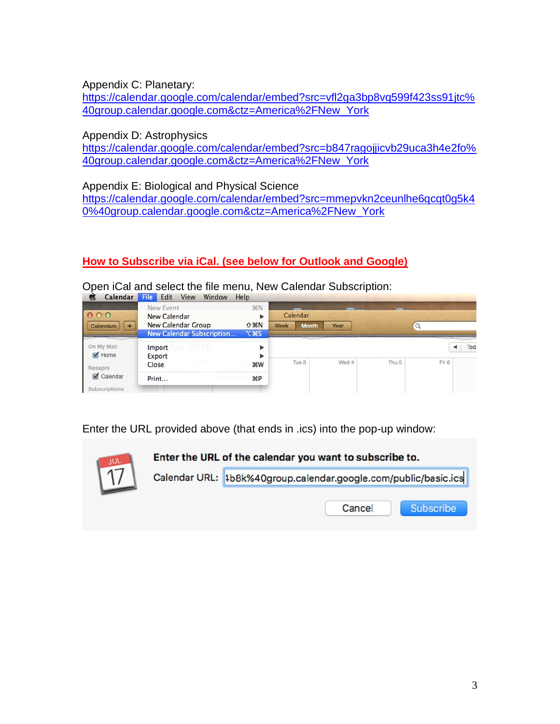Appendix C: Planetary:

[https://calendar.google.com/calendar/embed?src=vfl2ga3bp8vq599f423ss91jtc%](https://calendar.google.com/calendar/embed?src=vfl2ga3bp8vq599f423ss91jtc%40group.calendar.google.com&ctz=America%2FNew_York) [40group.calendar.google.com&ctz=America%2FNew\\_York](https://calendar.google.com/calendar/embed?src=vfl2ga3bp8vq599f423ss91jtc%40group.calendar.google.com&ctz=America%2FNew_York)

Appendix D: Astrophysics

[https://calendar.google.com/calendar/embed?src=b847ragojjicvb29uca3h4e2fo%](https://calendar.google.com/calendar/embed?src=b847ragojjicvb29uca3h4e2fo%40group.calendar.google.com&ctz=America%2FNew_York) [40group.calendar.google.com&ctz=America%2FNew\\_York](https://calendar.google.com/calendar/embed?src=b847ragojjicvb29uca3h4e2fo%40group.calendar.google.com&ctz=America%2FNew_York)

Appendix E: Biological and Physical Science

[https://calendar.google.com/calendar/embed?src=mmepvkn2ceunlhe6qcqt0g5k4](https://calendar.google.com/calendar/embed?src=mmepvkn2ceunlhe6qcqt0g5k40%40group.calendar.google.com&ctz=America%2FNew_York) [0%40group.calendar.google.com&ctz=America%2FNew\\_York](https://calendar.google.com/calendar/embed?src=mmepvkn2ceunlhe6qcqt0g5k40%40group.calendar.google.com&ctz=America%2FNew_York)

# **How to Subscribe via iCal. (see below for Outlook and Google)**

Open iCal and select the file menu, New Calendar Subscription:

| 000                                                                                    | New Event<br><b>New Calendar</b>                       | <b>第N</b>                     | Calendar |              |       |                  |       |     |
|----------------------------------------------------------------------------------------|--------------------------------------------------------|-------------------------------|----------|--------------|-------|------------------|-------|-----|
| <b>Calendars</b><br>÷                                                                  | New Calendar Group<br><b>New Calendar Subscription</b> | $0$ $%$ $N$<br><b>75 32 7</b> | Week     | <b>Month</b> | Year  |                  |       |     |
| On My Mac<br>$\blacksquare$ Home<br><b>Nasaprs</b><br>Calendar<br><b>Subscriptions</b> | Import<br>Export                                       | ►<br>ь                        |          |              |       |                  |       | Tod |
|                                                                                        | Close                                                  | <b>第W</b>                     | Tue 3    |              | Wed 4 | Thu <sub>5</sub> | Fri 6 |     |
|                                                                                        | Print                                                  | $\mathcal{L}$                 |          |              |       |                  |       |     |

Enter the URL provided above (that ends in .ics) into the pop-up window:

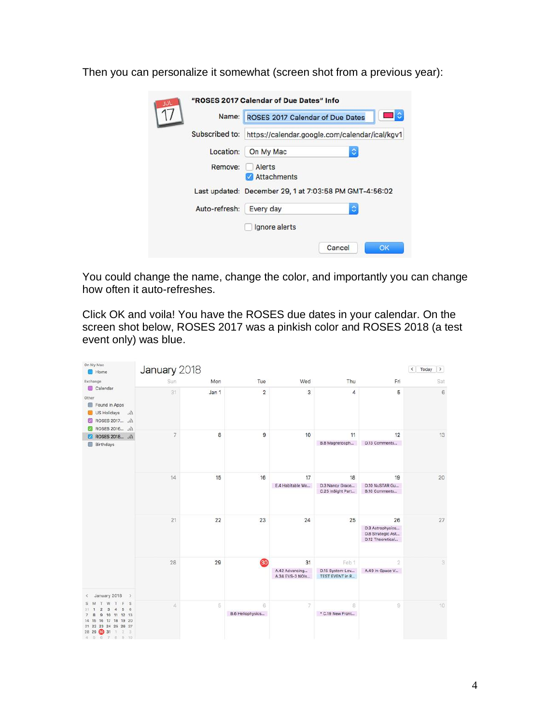Then you can personalize it somewhat (screen shot from a previous year):

| wи |                | "ROSES 2017 Calendar of Due Dates" Info                                            |        |    |  |  |  |  |  |
|----|----------------|------------------------------------------------------------------------------------|--------|----|--|--|--|--|--|
|    | Name:          | ROSES 2017 Calendar of Due Dates<br>https://calendar.google.com/calendar/ical/kgv1 |        |    |  |  |  |  |  |
|    | Subscribed to: |                                                                                    |        |    |  |  |  |  |  |
|    | Location:      | On My Mac                                                                          | ٥      |    |  |  |  |  |  |
|    | Remove:        | Alerts<br><b>Attachments</b>                                                       |        |    |  |  |  |  |  |
|    |                | Last updated: December 29, 1 at 7:03:58 PM GMT-4:56:02                             |        |    |  |  |  |  |  |
|    | Auto-refresh:  | Every day                                                                          | ٥      |    |  |  |  |  |  |
|    |                | Ignore alerts                                                                      |        |    |  |  |  |  |  |
|    |                |                                                                                    | Cancel | OK |  |  |  |  |  |

You could change the name, change the color, and importantly you can change how often it auto-refreshes.

Click OK and voila! You have the ROSES due dates in your calendar. On the screen shot below, ROSES 2017 was a pinkish color and ROSES 2018 (a test event only) was blue.

| On My Mac<br>Home                                                                                                                                                                                                                     | January 2018 |       |                         |                                   |                                           |                                                                 | Today<br>$\langle$<br>$\rightarrow$ |
|---------------------------------------------------------------------------------------------------------------------------------------------------------------------------------------------------------------------------------------|--------------|-------|-------------------------|-----------------------------------|-------------------------------------------|-----------------------------------------------------------------|-------------------------------------|
| Exchange                                                                                                                                                                                                                              | Sun          | Mon   | Tue                     | Wed                               | Thu                                       | Fri                                                             | Sat                                 |
| Calendar<br>Other<br>Found in Apps<br>US Holidays<br>lte.<br>ROSES 2017  \\<br>$\mathbf{z}$<br>ROSES 2016  \\<br>$\sim$                                                                                                               | 31           | Jan 1 | $\overline{\mathbf{c}}$ | 3                                 | 4                                         | 5                                                               | 6                                   |
| ROSES 2018  \\<br>ø<br><b>Birthdays</b>                                                                                                                                                                                               | 7            | 8     | 9                       | 10                                | 11<br>B.8 Magnetosph                      | 12<br>D.13 Comments                                             | 13                                  |
|                                                                                                                                                                                                                                       | 14           | 15    | 16                      | 17                                | 18                                        | 19                                                              | 20                                  |
|                                                                                                                                                                                                                                       |              |       |                         | E.4 Habitable Wo                  | D.3 Nancy Grace<br>C.25 InSight Part      | D.10 NuSTAR Gu<br>B.10 Comments                                 |                                     |
|                                                                                                                                                                                                                                       | 21           | 22    | 23                      | 24                                | 25                                        | 26<br>D.3 Astrophysics<br>D.8 Strategic Ast<br>D.12 Theoretical | 27                                  |
|                                                                                                                                                                                                                                       | 28           | 29    | 30 <sub>o</sub>         | 31                                | Feb 1                                     | $\overline{2}$                                                  | 3                                   |
|                                                                                                                                                                                                                                       |              |       |                         | A.42 Advancing<br>A.34 EVS-3 NOIs | D.15 System-Lev<br><b>TEST EVENT in R</b> | A.49 In-Space V                                                 |                                     |
| January 2018<br>$\rightarrow$<br>×.<br>F<br>S<br>W<br>T<br>6<br>$\overline{2}$<br>3<br>$\overline{a}$<br>5<br>10 11 12 13<br>$_{9}$<br>8<br>16 17 18 19 20<br>14 15<br>21 22 23 24 25 26 27<br>28 29<br>80 31 1 2 3<br>4 5 6 7 8 9 10 | $\Delta$     | 5     | 6<br>B.6 Heliophysics   | 7                                 | 8<br>* C.19 New Front                     | 9                                                               | 10                                  |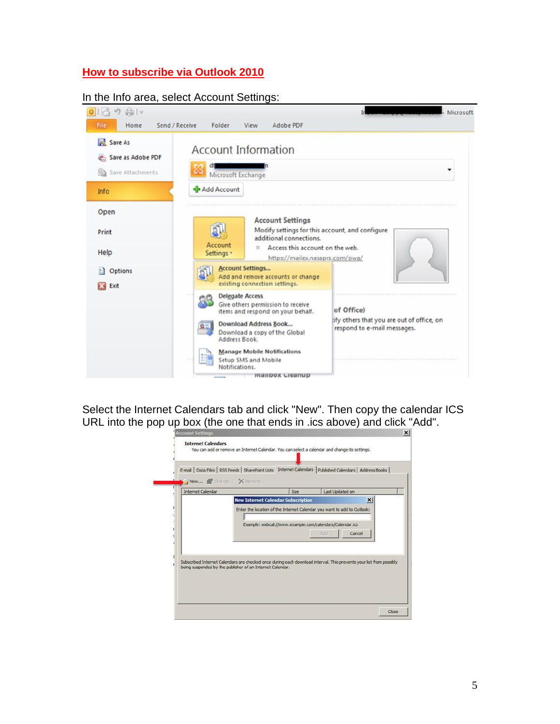# **How to subscribe via Outlook 2010**

#### In the Info area, select Account Settings:



Select the Internet Calendars tab and click "New". Then copy the calendar ICS URL into the pop up box (the one that ends in .ics above) and click "Add".

| <b>Internet Calendar</b> |                                                                                                                     | Size | Last Updated on                                          |                 |
|--------------------------|---------------------------------------------------------------------------------------------------------------------|------|----------------------------------------------------------|-----------------|
|                          | <b>New Internet Calendar Subscription</b>                                                                           |      |                                                          | $\vert x \vert$ |
|                          | Enter the location of the Internet Calendar you want to add to Outlook:                                             |      |                                                          |                 |
|                          |                                                                                                                     |      |                                                          |                 |
|                          |                                                                                                                     |      | Example: webcal://www.example.com/calendars/Calendar.ics |                 |
|                          |                                                                                                                     |      | Add                                                      | Cancel          |
|                          |                                                                                                                     |      |                                                          |                 |
|                          |                                                                                                                     |      |                                                          |                 |
|                          | Subscribed Internet Calendars are checked once during each download interval. This prevents your list from possibly |      |                                                          |                 |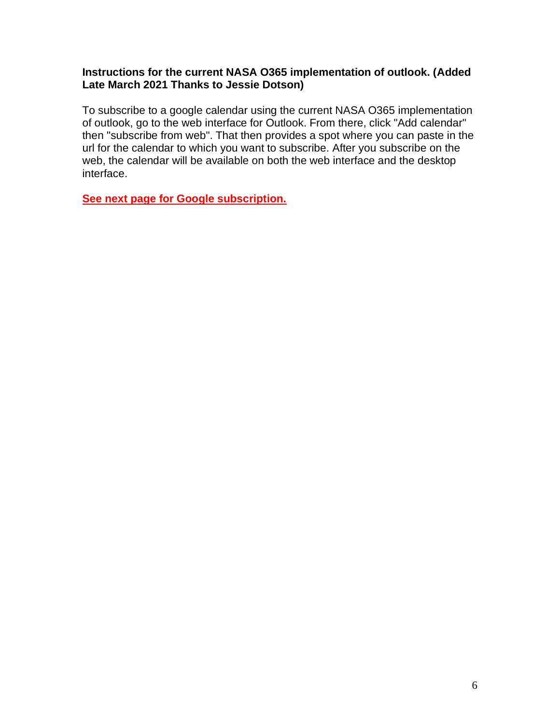## **Instructions for the current NASA O365 implementation of outlook. (Added Late March 2021 Thanks to Jessie Dotson)**

To subscribe to a google calendar using the current NASA O365 implementation of outlook, go to the web interface for Outlook. From there, click "Add calendar" then "subscribe from web". That then provides a spot where you can paste in the url for the calendar to which you want to subscribe. After you subscribe on the web, the calendar will be available on both the web interface and the desktop interface.

**See next page for Google subscription.**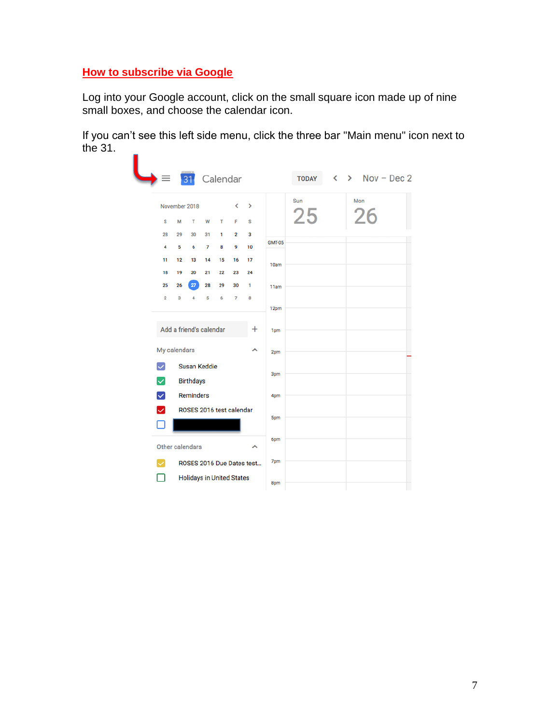# **How to subscribe via Google**

Log into your Google account, click on the small square icon made up of nine small boxes, and choose the calendar icon.

If you can't see this left side menu, click the three bar "Main menu" icon next to the 31.

|                         |               | 31                               |    |    | Calendar                |                           |               | <b>TODAY</b> | $\left\langle \right\rangle$ | $\triangleright$ Nov - Dec 2 |  |
|-------------------------|---------------|----------------------------------|----|----|-------------------------|---------------------------|---------------|--------------|------------------------------|------------------------------|--|
|                         | November 2018 |                                  |    |    | K                       | >                         |               | Sun          |                              | Mon                          |  |
| s                       | M             | T                                | W  | т  | F                       | s                         |               | 25           |                              | 26                           |  |
| 28                      | 29            | 30                               | 31 | 1  | $\overline{\mathbf{2}}$ | 3                         |               |              |                              |                              |  |
| 4                       | 5             | 6                                | 7  | 8  | 9                       | 10                        | <b>GMT-05</b> |              |                              |                              |  |
| 11                      | 12            | 13                               | 14 | 15 | 16                      | 17                        | 10am          |              |                              |                              |  |
| 18                      | 19            | 20                               | 21 | 22 | 23                      | 24                        |               |              |                              |                              |  |
| 25                      | 26            | 27                               | 28 | 29 | 30                      | 1                         | 11am          |              |                              |                              |  |
| $\overline{2}$          | 3             | 4                                | 5  | 6  | 7                       | 8                         | 12pm          |              |                              |                              |  |
|                         |               |                                  |    |    |                         |                           |               |              |                              |                              |  |
|                         |               | Add a friend's calendar          |    |    |                         | $\pm$                     | 1pm           |              |                              |                              |  |
| My calendars            |               |                                  |    |    |                         | ㅅ                         | 2pm           |              |                              |                              |  |
| $\vert \vee \vert$<br>▽ |               | Susan Keddie<br><b>Birthdays</b> |    |    |                         |                           | 3pm           |              |                              |                              |  |
| $\blacktriangledown$    |               | <b>Reminders</b>                 |    |    |                         |                           | 4pm           |              |                              |                              |  |
| ☑<br>П                  |               | ROSES 2016 test calendar         |    |    |                         |                           | 5pm           |              |                              |                              |  |
| Other calendars         |               |                                  |    |    |                         | ^                         | 6pm           |              |                              |                              |  |
| $\checkmark$            |               |                                  |    |    |                         | ROSES 2016 Due Dates test | 7pm           |              |                              |                              |  |
|                         |               | <b>Holidays in United States</b> |    |    |                         |                           | 8pm           |              |                              |                              |  |